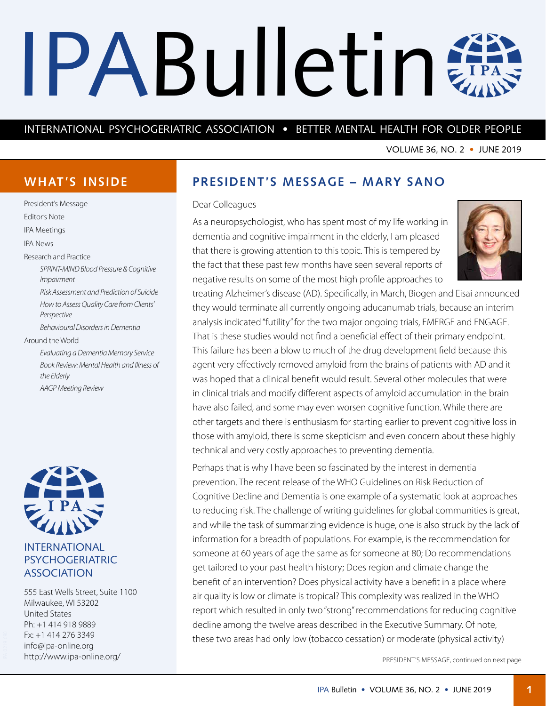# <span id="page-0-0"></span>IPABulletin #

# INTERNATIONAL PSYCHOGERIATRIC ASSOCIATION • BETTER MENTAL HEALTH FOR OLDER PEOPLE

VOLUME 36, NO. 2 • JUNE 2019

# **WHAT'S INSIDE**

President's Message Editor's Note IPA Meetings IPA News Research and Practice *SPRINT-MIND Blood Pressure & Cognitive Impairment Risk Assessment and Prediction of Suicide How to Assess Quality Care from Clients' Perspective Behavioural Disorders in Dementia* Around the World *Evaluating a Dementia Memory Service Book Review: Mental Health and Illness of the Elderly AAGP Meeting Review*



# INTERNATIONAL PSYCHOGERIATRIC ASSOCIATION

555 East Wells Street, Suite 1100 Milwaukee, WI 53202 United States Ph: +1 414 918 9889 Fx: +1 414 276 3349 [info@ipa-online.org](mailto:info%40ipa-online.org?subject=) <http://www.ipa-online.org/>

# **PRESIDENT'S MESSAGE – MARY SANO**

#### Dear Colleagues

As a neuropsychologist, who has spent most of my life working in dementia and cognitive impairment in the elderly, I am pleased that there is growing attention to this topic. This is tempered by the fact that these past few months have seen several reports of negative results on some of the most high profile approaches to



treating Alzheimer's disease (AD). Specifically, in March, Biogen and Eisai announced they would terminate all currently ongoing aducanumab trials, because an interim analysis indicated "futility" for the two major ongoing trials, EMERGE and ENGAGE. That is these studies would not find a beneficial effect of their primary endpoint. This failure has been a blow to much of the drug development field because this agent very effectively removed amyloid from the brains of patients with AD and it was hoped that a clinical benefit would result. Several other molecules that were in clinical trials and modify different aspects of amyloid accumulation in the brain have also failed, and some may even worsen cognitive function. While there are other targets and there is enthusiasm for starting earlier to prevent cognitive loss in those with amyloid, there is some skepticism and even concern about these highly technical and very costly approaches to preventing dementia.

Perhaps that is why I have been so fascinated by the interest in dementia prevention. The recent release of the WHO Guidelines on Risk Reduction of Cognitive Decline and Dementia is one example of a systematic look at approaches to reducing risk. The challenge of writing guidelines for global communities is great, and while the task of summarizing evidence is huge, one is also struck by the lack of information for a breadth of populations. For example, is the recommendation for someone at 60 years of age the same as for someone at 80; Do recommendations get tailored to your past health history; Does region and climate change the benefit of an intervention? Does physical activity have a benefit in a place where air quality is low or climate is tropical? This complexity was realized in the WHO report which resulted in only two "strong" recommendations for reducing cognitive decline among the twelve areas described in the Executive Summary. Of note, these two areas had only low (tobacco cessation) or moderate (physical activity)

PRESIDENT'S MESSAGE, continued on next page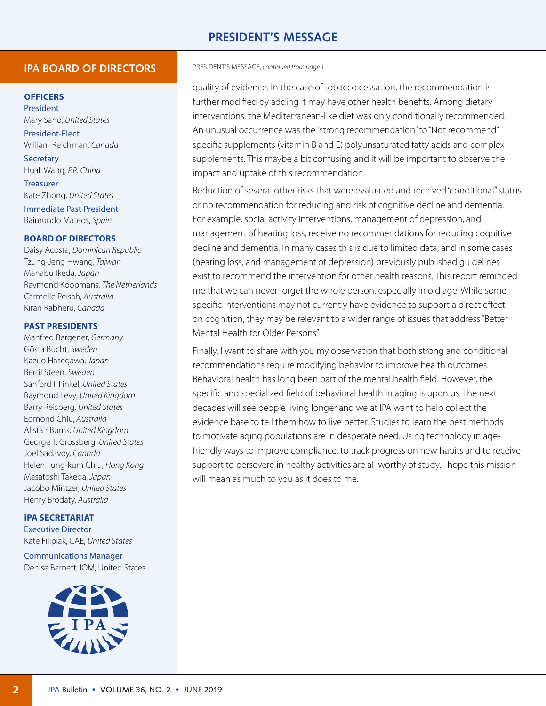# **PRESIDENT'S MESSAGE**

#### **IPA BOARD OF DIRECTORS**

#### **OFFICERS**

President Mary Sano, *United States* President-Elect

William Reichman, *Canada* **Secretary** 

Huali Wang, *P.R. China*

Treasurer Kate Zhong, *United States* Immediate Past President Raimundo Mateos, *Spain*

#### **BOARD OF DIRECTORS**

Daisy Acosta, *Dominican Republic* Tzung-Jeng Hwang, *Taiwan* Manabu Ikeda, *Japan* Raymond Koopmans, *The Netherlands* Carmelle Peisah, *Australia* Kiran Rabheru, *Canada*

#### **PAST PRESIDENTS**

Manfred Bergener, *Germany* Gösta Bucht, *Sweden* Kazuo Hasegawa, *Japan* Bertil Steen, *Sweden* Sanford I. Finkel, *United States* Raymond Levy, *United Kingdom* Barry Reisberg, *United States* Edmond Chiu, *Australia* Alistair Burns, *United Kingdom* George T. Grossberg, *United States* Joel Sadavoy, *Canada* Helen Fung-kum Chiu, *Hong Kong* Masatoshi Takeda, *Japan* Jacobo Mintzer, *United States* Henry Brodaty, *Australia*

#### **IPA SECRETARIAT**

Executive Director Kate Filipiak, CAE, *United States*

Communications Manager Denise Barnett, IOM, United States



#### PRESIDENT'S MESSAGE, *[continued from page](#page-0-0) 1*

quality of evidence. In the case of tobacco cessation, the recommendation is further modified by adding it may have other health benefits. Among dietary interventions, the Mediterranean-like diet was only conditionally recommended. An unusual occurrence was the "strong recommendation" to "Not recommend" specific supplements (vitamin B and E) polyunsaturated fatty acids and complex supplements. This maybe a bit confusing and it will be important to observe the impact and uptake of this recommendation.

Reduction of several other risks that were evaluated and received "conditional" status or no recommendation for reducing and risk of cognitive decline and dementia. For example, social activity interventions, management of depression, and management of hearing loss, receive no recommendations for reducing cognitive decline and dementia. In many cases this is due to limited data, and in some cases (hearing loss, and management of depression) previously published guidelines exist to recommend the intervention for other health reasons. This report reminded me that we can never forget the whole person, especially in old age. While some specific interventions may not currently have evidence to support a direct effect on cognition, they may be relevant to a wider range of issues that address "Better Mental Health for Older Persons".

Finally, I want to share with you my observation that both strong and conditional recommendations require modifying behavior to improve health outcomes. Behavioral health has long been part of the mental health field. However, the specific and specialized field of behavioral health in aging is upon us. The next decades will see people living longer and we at IPA want to help collect the evidence base to tell them how to live better. Studies to learn the best methods to motivate aging populations are in desperate need. Using technology in agefriendly ways to improve compliance, to track progress on new habits and to receive support to persevere in healthy activities are all worthy of study. I hope this mission will mean as much to you as it does to me.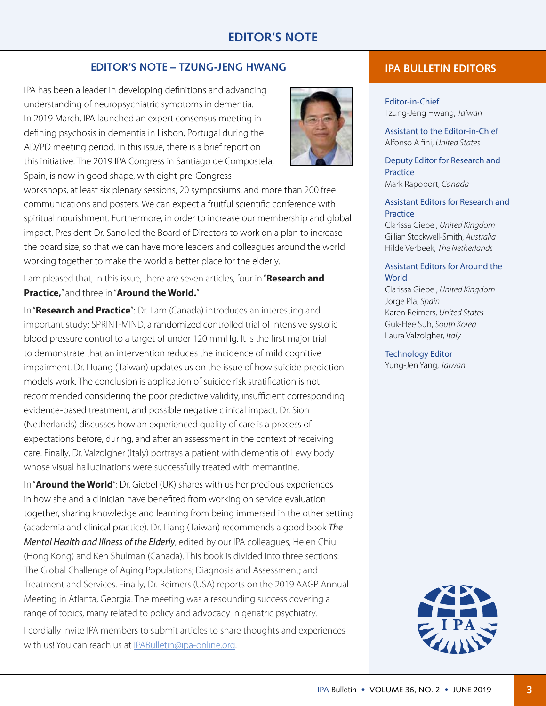# **EDITOR'S NOTE**

#### **EDITOR'S NOTE – TZUNG-JENG HWANG**

IPA has been a leader in developing definitions and advancing understanding of neuropsychiatric symptoms in dementia. In 2019 March, IPA launched an expert consensus meeting in defining psychosis in dementia in Lisbon, Portugal during the AD/PD meeting period. In this issue, there is a brief report on this initiative. The 2019 IPA Congress in Santiago de Compostela, Spain, is now in good shape, with eight pre-Congress



workshops, at least six plenary sessions, 20 symposiums, and more than 200 free communications and posters. We can expect a fruitful scientific conference with spiritual nourishment. Furthermore, in order to increase our membership and global impact, President Dr. Sano led the Board of Directors to work on a plan to increase the board size, so that we can have more leaders and colleagues around the world working together to make the world a better place for the elderly.

I am pleased that, in this issue, there are seven articles, four in "**Research and Practice,**" and three in "**Around the World.**"

In "**Research and Practice**": Dr. Lam (Canada) introduces an interesting and important study: SPRINT-MIND, a randomized controlled trial of intensive systolic blood pressure control to a target of under 120 mmHg. It is the first major trial to demonstrate that an intervention reduces the incidence of mild cognitive impairment. Dr. Huang (Taiwan) updates us on the issue of how suicide prediction models work. The conclusion is application of suicide risk stratification is not recommended considering the poor predictive validity, insufficient corresponding evidence-based treatment, and possible negative clinical impact. Dr. Sion (Netherlands) discusses how an experienced quality of care is a process of expectations before, during, and after an assessment in the context of receiving care. Finally, Dr. Valzolgher (Italy) portrays a patient with dementia of Lewy body whose visual hallucinations were successfully treated with memantine.

In "**Around the World**": Dr. Giebel (UK) shares with us her precious experiences in how she and a clinician have benefited from working on service evaluation together, sharing knowledge and learning from being immersed in the other setting (academia and clinical practice). Dr. Liang (Taiwan) recommends a good book *The Mental Health and Illness of the Elderly*, edited by our IPA colleagues, Helen Chiu (Hong Kong) and Ken Shulman (Canada). This book is divided into three sections: The Global Challenge of Aging Populations; Diagnosis and Assessment; and Treatment and Services. Finally, Dr. Reimers (USA) reports on the 2019 AAGP Annual Meeting in Atlanta, Georgia. The meeting was a resounding success covering a range of topics, many related to policy and advocacy in geriatric psychiatry. I cordially invite IPA members to submit articles to share thoughts and experiences

with us! You can reach us at IPABulletin@ipa-online.org.

### **IPA BULLETIN EDITORS**

Editor-in-Chief Tzung-Jeng Hwang, *Taiwan*

Assistant to the Editor-in-Chief Alfonso Alfini, *United States*

Deputy Editor for Research and **Practice** Mark Rapoport, *Canada*

#### Assistant Editors for Research and **Practice**

Clarissa Giebel, *United Kingdom* Gillian Stockwell-Smith, *Australia* Hilde Verbeek, *The Netherlands*

#### Assistant Editors for Around the **World**

Clarissa Giebel, *United Kingdom* Jorge Pla, *Spain* Karen Reimers, *United States* Guk-Hee Suh, *South Korea* Laura Valzolgher, *Italy*

Technology Editor Yung-Jen Yang, *Taiwan*

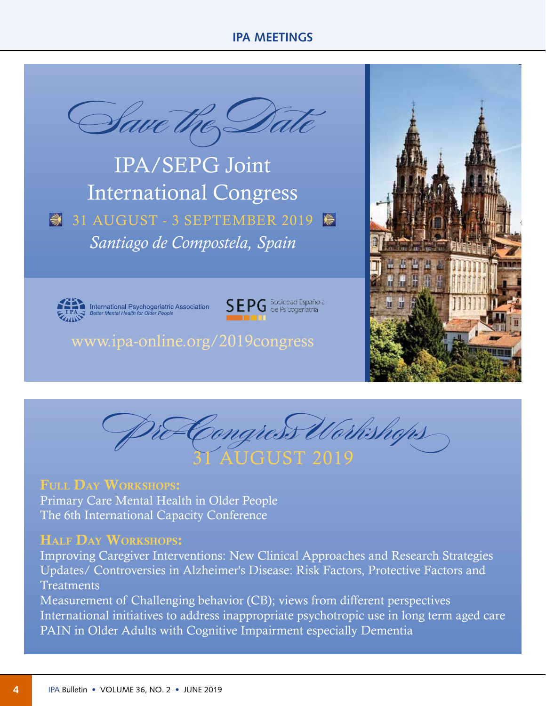# **IPA MEETINGS**



IPA/SEPG Joint International Congress 31 AUGUST - 3 SEPTEMBER 2019 *Santiago de Compostela, Spain*



International Psychogeriatric Association<br>Better Mental Health for Older People



www.ipa-online.org/2019congress





# FULL DAY WORKSHOPS:

Primary Care Mental Health in Older People The 6th International Capacity Conference

# HALF DAY WORKSHOPS:

Improving Caregiver Interventions: New Clinical Approaches and Research Strategies Updates/ Controversies in Alzheimer's Disease: Risk Factors, Protective Factors and **Treatments** 

Measurement of Challenging behavior (CB); views from different perspectives International initiatives to address inappropriate psychotropic use in long term aged care PAIN in Older Adults with Cognitive Impairment especially Dementia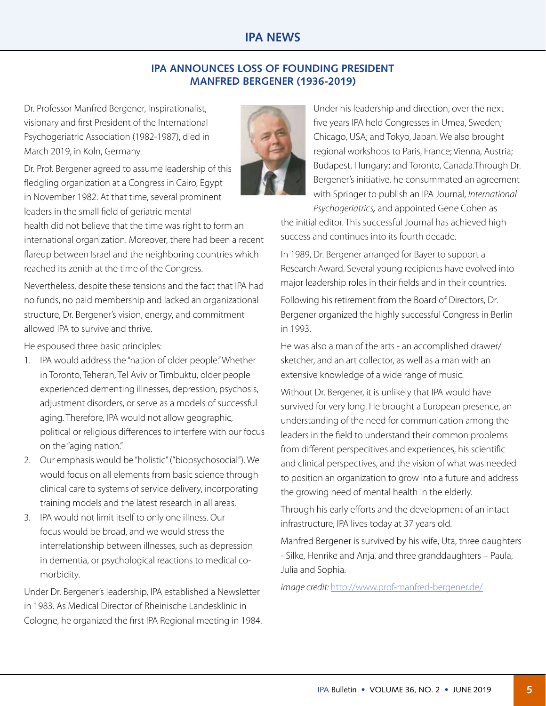# **IPA NEWS**

## **IPA ANNOUNCES LOSS OF FOUNDING PRESIDENT MANFRED BERGENER (1936-2019)**

Dr. Professor Manfred Bergener, Inspirationalist, visionary and first President of the International Psychogeriatric Association (1982-1987), died in March 2019, in Koln, Germany.

Dr. Prof. Bergener agreed to assume leadership of this fledgling organization at a Congress in Cairo, Egypt in November 1982. At that time, several prominent leaders in the small field of geriatric mental

health did not believe that the time was right to form an international organization. Moreover, there had been a recent flareup between Israel and the neighboring countries which reached its zenith at the time of the Congress.

Nevertheless, despite these tensions and the fact that IPA had no funds, no paid membership and lacked an organizational structure, Dr. Bergener's vision, energy, and commitment allowed IPA to survive and thrive.

He espoused three basic principles:

- 1. IPA would address the "nation of older people." Whether in Toronto, Teheran, Tel Aviv or Timbuktu, older people experienced dementing illnesses, depression, psychosis, adjustment disorders, or serve as a models of successful aging. Therefore, IPA would not allow geographic, political or religious differences to interfere with our focus on the "aging nation."
- 2. Our emphasis would be "holistic" ("biopsychosocial"). We would focus on all elements from basic science through clinical care to systems of service delivery, incorporating training models and the latest research in all areas.
- 3. IPA would not limit itself to only one illness. Our focus would be broad, and we would stress the interrelationship between illnesses, such as depression in dementia, or psychological reactions to medical comorbidity.

Under Dr. Bergener's leadership, IPA established a Newsletter in 1983. As Medical Director of Rheinische Landesklinic in Cologne, he organized the first IPA Regional meeting in 1984. Under his leadership and direction, over the next five years IPA held Congresses in Umea, Sweden; Chicago, USA; and Tokyo, Japan. We also brought regional workshops to Paris, France; Vienna, Austria; Budapest, Hungary; and Toronto, Canada.Through Dr. Bergener's initiative, he consummated an agreement with Springer to publish an IPA Journal, *International Psychogeriatrics,* and appointed Gene Cohen as

the initial editor. This successful Journal has achieved high success and continues into its fourth decade.

In 1989, Dr. Bergener arranged for Bayer to support a Research Award. Several young recipients have evolved into major leadership roles in their fields and in their countries.

Following his retirement from the Board of Directors, Dr. Bergener organized the highly successful Congress in Berlin in 1993.

He was also a man of the arts - an accomplished drawer/ sketcher, and an art collector, as well as a man with an extensive knowledge of a wide range of music.

Without Dr. Bergener, it is unlikely that IPA would have survived for very long. He brought a European presence, an understanding of the need for communication among the leaders in the field to understand their common problems from different perspecitives and experiences, his scientific and clinical perspectives, and the vision of what was needed to position an organization to grow into a future and address the growing need of mental health in the elderly.

Through his early efforts and the development of an intact infrastructure, IPA lives today at 37 years old.

Manfred Bergener is survived by his wife, Uta, three daughters - Silke, Henrike and Anja, and three granddaughters – Paula, Julia and Sophia.

*image credit:* <http://www.prof-manfred-bergener.de/>

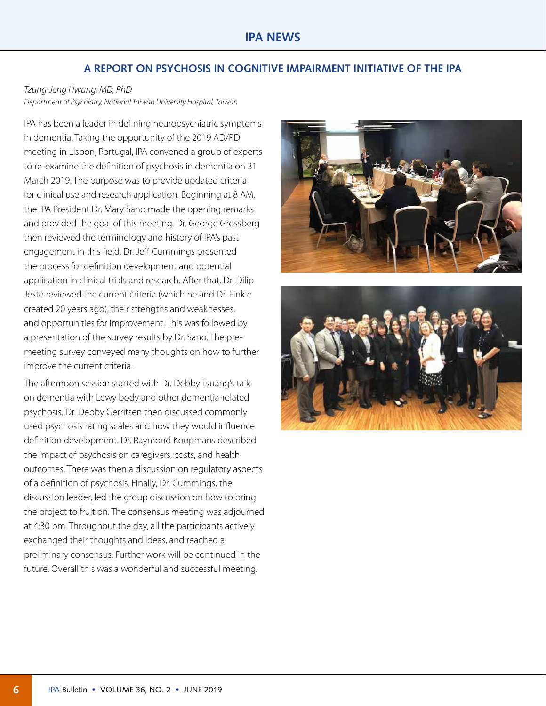## **A REPORT ON PSYCHOSIS IN COGNITIVE IMPAIRMENT INITIATIVE OF THE IPA**

## *Tzung-Jeng Hwang, MD, PhD*

*Department of Psychiatry, National Taiwan University Hospital, Taiwan*

IPA has been a leader in defining neuropsychiatric symptoms in dementia. Taking the opportunity of the 2019 AD/PD meeting in Lisbon, Portugal, IPA convened a group of experts to re-examine the definition of psychosis in dementia on 31 March 2019. The purpose was to provide updated criteria for clinical use and research application. Beginning at 8 AM, the IPA President Dr. Mary Sano made the opening remarks and provided the goal of this meeting. Dr. George Grossberg then reviewed the terminology and history of IPA's past engagement in this field. Dr. Jeff Cummings presented the process for definition development and potential application in clinical trials and research. After that, Dr. Dilip Jeste reviewed the current criteria (which he and Dr. Finkle created 20 years ago), their strengths and weaknesses, and opportunities for improvement. This was followed by a presentation of the survey results by Dr. Sano. The premeeting survey conveyed many thoughts on how to further improve the current criteria.

The afternoon session started with Dr. Debby Tsuang's talk on dementia with Lewy body and other dementia-related psychosis. Dr. Debby Gerritsen then discussed commonly used psychosis rating scales and how they would influence definition development. Dr. Raymond Koopmans described the impact of psychosis on caregivers, costs, and health outcomes. There was then a discussion on regulatory aspects of a definition of psychosis. Finally, Dr. Cummings, the discussion leader, led the group discussion on how to bring the project to fruition. The consensus meeting was adjourned at 4:30 pm. Throughout the day, all the participants actively exchanged their thoughts and ideas, and reached a preliminary consensus. Further work will be continued in the future. Overall this was a wonderful and successful meeting.



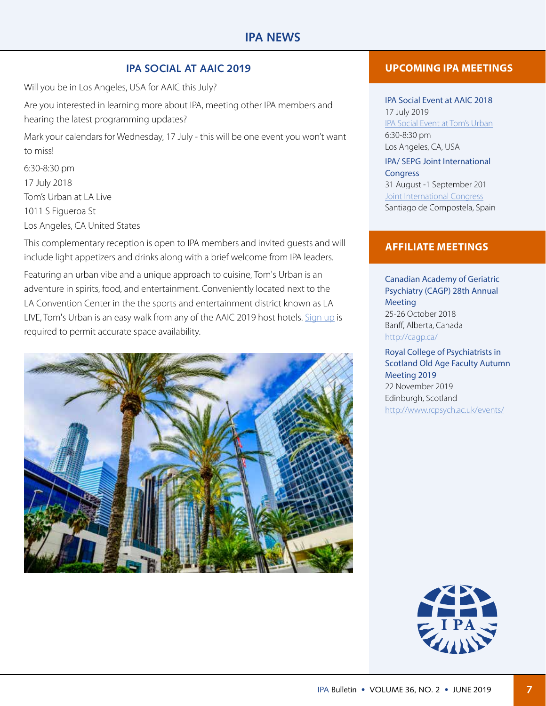## **IPA SOCIAL AT AAIC 2019**

Will you be in Los Angeles, USA for AAIC this July?

Are you interested in learning more about IPA, meeting other IPA members and hearing the latest programming updates?

Mark your calendars for Wednesday, 17 July - this will be one event you won't want to miss!

6:30-8:30 pm 17 July 2018 Tom's Urban at LA Live 1011 S Figueroa St Los Angeles, CA United States

This complementary reception is open to IPA members and invited guests and will include light appetizers and drinks along with a brief welcome from IPA leaders.

Featuring an urban vibe and a unique approach to cuisine, Tom's Urban is an adventure in spirits, food, and entertainment. Conveniently located next to the LA Convention Center in the the sports and entertainment district known as LA LIVE, Tom's Urban is an easy walk from any of the AAIC 2019 host hotels. [Sign up](https://www.ipa-online.org/events/aaic-social-2019) is required to permit accurate space availability.



## **UPCOMING IPA MEETINGS**

IPA Social Event at AAIC 2018 17 July 2019 [IPA Social Event at Tom's Urban](https://www.ipa-online.org/events/aaic-social-2019) 6:30-8:30 pm Los Angeles, CA, USA

#### IPA/ SEPG Joint International **Congress**

31 August -1 September 201 **[Joint International Congress](https://www.ipa-congress.org/)** Santiago de Compostela, Spain

#### **AFFILIATE MEETINGS**

Canadian Academy of Geriatric Psychiatry (CAGP) 28th Annual Meeting 25-26 October 2018 Banff, Alberta, Canada <http://cagp.ca/>

Royal College of Psychiatrists in Scotland Old Age Faculty Autumn Meeting 2019 22 November 2019 Edinburgh, Scotland [http://www.rcpsych.ac.uk/events/](https://www.rcpsych.ac.uk/events/conferences/detail/2019/11/22/default-calendar/rcpsych-in-scotland-old-age-faculty-autumn-meeting-2019)

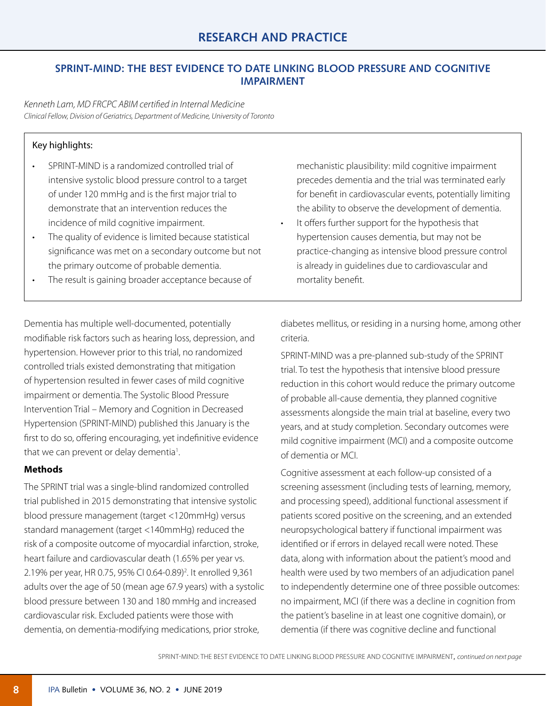# **SPRINT-MIND: THE BEST EVIDENCE TO DATE LINKING BLOOD PRESSURE AND COGNITIVE IMPAIRMENT**

*Kenneth Lam, MD FRCPC ABIM certified in Internal Medicine Clinical Fellow, Division of Geriatrics, Department of Medicine, University of Toronto*

## Key highlights:

- SPRINT-MIND is a randomized controlled trial of intensive systolic blood pressure control to a target of under 120 mmHg and is the first major trial to demonstrate that an intervention reduces the incidence of mild cognitive impairment.
- The quality of evidence is limited because statistical significance was met on a secondary outcome but not the primary outcome of probable dementia.
- The result is gaining broader acceptance because of

mechanistic plausibility: mild cognitive impairment precedes dementia and the trial was terminated early for benefit in cardiovascular events, potentially limiting the ability to observe the development of dementia.

It offers further support for the hypothesis that hypertension causes dementia, but may not be practice-changing as intensive blood pressure control is already in guidelines due to cardiovascular and mortality benefit.

Dementia has multiple well-documented, potentially modifiable risk factors such as hearing loss, depression, and hypertension. However prior to this trial, no randomized controlled trials existed demonstrating that mitigation of hypertension resulted in fewer cases of mild cognitive impairment or dementia. The Systolic Blood Pressure Intervention Trial – Memory and Cognition in Decreased Hypertension (SPRINT-MIND) published this January is the first to do so, offering encouraging, yet indefinitive evidence that we can prevent or delay dementia<sup>1</sup>. .

#### **Methods**

The SPRINT trial was a single-blind randomized controlled trial published in 2015 demonstrating that intensive systolic blood pressure management (target <120mmHg) versus standard management (target <140mmHg) reduced the risk of a composite outcome of myocardial infarction, stroke, heart failure and cardiovascular death (1.65% per year vs. 2.19% per year, HR 0.75, 95% CI 0.64-0.89)<sup>2</sup>. It enrolled 9,361 adults over the age of 50 (mean age 67.9 years) with a systolic blood pressure between 130 and 180 mmHg and increased cardiovascular risk. Excluded patients were those with dementia, on dementia-modifying medications, prior stroke,

diabetes mellitus, or residing in a nursing home, among other criteria.

SPRINT-MIND was a pre-planned sub-study of the SPRINT trial. To test the hypothesis that intensive blood pressure reduction in this cohort would reduce the primary outcome of probable all-cause dementia, they planned cognitive assessments alongside the main trial at baseline, every two years, and at study completion. Secondary outcomes were mild cognitive impairment (MCI) and a composite outcome of dementia or MCI.

Cognitive assessment at each follow-up consisted of a screening assessment (including tests of learning, memory, and processing speed), additional functional assessment if patients scored positive on the screening, and an extended neuropsychological battery if functional impairment was identified or if errors in delayed recall were noted. These data, along with information about the patient's mood and health were used by two members of an adjudication panel to independently determine one of three possible outcomes: no impairment, MCI (if there was a decline in cognition from the patient's baseline in at least one cognitive domain), or dementia (if there was cognitive decline and functional

SPRINT-MIND: THE BEST EVIDENCE TO DATE LINKING BLOOD PRESSURE AND COGNITIVE IMPAIRMENT, *[continued on next page](#page-0-0)*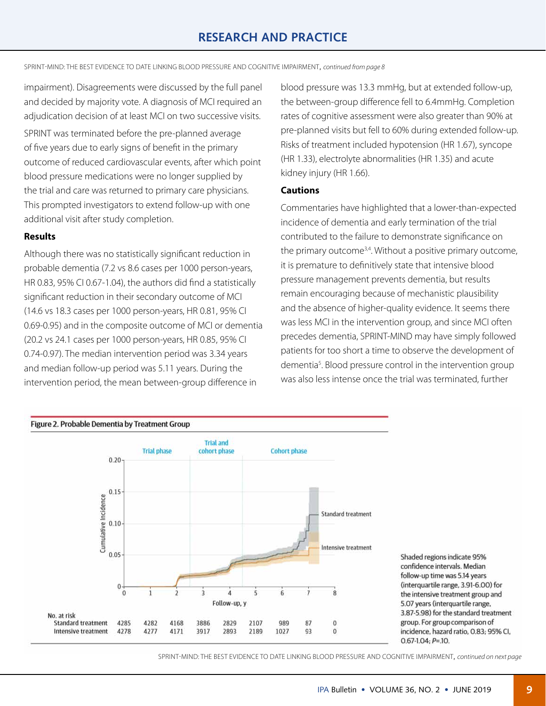SPRINT-MIND: THE BEST EVIDENCE TO DATE LINKING BLOOD PRESSURE AND COGNITIVE IMPAIRMENT, *[continued from page 8](#page-0-0)*

impairment). Disagreements were discussed by the full panel and decided by majority vote. A diagnosis of MCI required an adjudication decision of at least MCI on two successive visits.

SPRINT was terminated before the pre-planned average of five years due to early signs of benefit in the primary outcome of reduced cardiovascular events, after which point blood pressure medications were no longer supplied by the trial and care was returned to primary care physicians. This prompted investigators to extend follow-up with one additional visit after study completion.

#### **Results**

Although there was no statistically significant reduction in probable dementia (7.2 vs 8.6 cases per 1000 person-years, HR 0.83, 95% CI 0.67-1.04), the authors did find a statistically significant reduction in their secondary outcome of MCI (14.6 vs 18.3 cases per 1000 person-years, HR 0.81, 95% CI 0.69-0.95) and in the composite outcome of MCI or dementia (20.2 vs 24.1 cases per 1000 person-years, HR 0.85, 95% CI 0.74-0.97). The median intervention period was 3.34 years and median follow-up period was 5.11 years. During the intervention period, the mean between-group difference in

blood pressure was 13.3 mmHg, but at extended follow-up, the between-group difference fell to 6.4mmHg. Completion rates of cognitive assessment were also greater than 90% at pre-planned visits but fell to 60% during extended follow-up. Risks of treatment included hypotension (HR 1.67), syncope (HR 1.33), electrolyte abnormalities (HR 1.35) and acute kidney injury (HR 1.66).

#### **Cautions**

Commentaries have highlighted that a lower-than-expected incidence of dementia and early termination of the trial contributed to the failure to demonstrate significance on the primary outcome $3,4$ . Without a positive primary outcome, it is premature to definitively state that intensive blood pressure management prevents dementia, but results remain encouraging because of mechanistic plausibility and the absence of higher-quality evidence. It seems there was less MCI in the intervention group, and since MCI often precedes dementia, SPRINT-MIND may have simply followed patients for too short a time to observe the development of dementia<sup>5</sup>. Blood pressure control in the intervention group was also less intense once the trial was terminated, further



SPRINT-MIND: THE BEST EVIDENCE TO DATE LINKING BLOOD PRESSURE AND COGNITIVE IMPAIRMENT, *[continued on next page](#page-0-0)*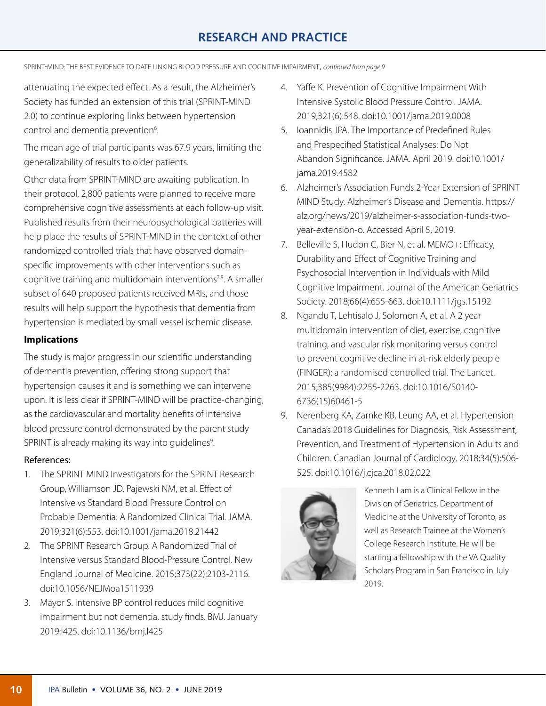# **RESEARCH AND PRACTICE**

SPRINT-MIND: THE BEST EVIDENCE TO DATE LINKING BLOOD PRESSURE AND COGNITIVE IMPAIRMENT, *[continued from page 9](#page-0-0)*

attenuating the expected effect. As a result, the Alzheimer's Society has funded an extension of this trial (SPRINT-MIND 2.0) to continue exploring links between hypertension control and dementia prevention<sup>6</sup>. .

The mean age of trial participants was 67.9 years, limiting the generalizability of results to older patients.

Other data from SPRINT-MIND are awaiting publication. In their protocol, 2,800 patients were planned to receive more comprehensive cognitive assessments at each follow-up visit. Published results from their neuropsychological batteries will help place the results of SPRINT-MIND in the context of other randomized controlled trials that have observed domainspecific improvements with other interventions such as cognitive training and multidomain interventions<sup>7,8</sup>. A smaller subset of 640 proposed patients received MRIs, and those results will help support the hypothesis that dementia from hypertension is mediated by small vessel ischemic disease.

#### **Implications**

The study is major progress in our scientific understanding of dementia prevention, offering strong support that hypertension causes it and is something we can intervene upon. It is less clear if SPRINT-MIND will be practice-changing, as the cardiovascular and mortality benefits of intensive blood pressure control demonstrated by the parent study SPRINT is already making its way into guidelines<sup>9</sup>. .

#### References:

- 1. The SPRINT MIND Investigators for the SPRINT Research Group, Williamson JD, Pajewski NM, et al. Effect of Intensive vs Standard Blood Pressure Control on Probable Dementia: A Randomized Clinical Trial. JAMA. 2019;321(6):553. doi:10.1001/jama.2018.21442
- 2. The SPRINT Research Group. A Randomized Trial of Intensive versus Standard Blood-Pressure Control. New England Journal of Medicine. 2015;373(22):2103-2116. doi:10.1056/NEJMoa1511939
- 3. Mayor S. Intensive BP control reduces mild cognitive impairment but not dementia, study finds. BMJ. January 2019:l425. doi:10.1136/bmj.l425
- 4. Yaffe K. Prevention of Cognitive Impairment With Intensive Systolic Blood Pressure Control. JAMA. 2019;321(6):548. doi:10.1001/jama.2019.0008
- 5. Ioannidis JPA. The Importance of Predefined Rules and Prespecified Statistical Analyses: Do Not Abandon Significance. JAMA. April 2019. doi:10.1001/ jama.2019.4582
- 6. Alzheimer's Association Funds 2-Year Extension of SPRINT MIND Study. Alzheimer's Disease and Dementia. https:// alz.org/news/2019/alzheimer-s-association-funds-twoyear-extension-o. Accessed April 5, 2019.
- 7. Belleville S, Hudon C, Bier N, et al. MEMO+: Efficacy, Durability and Effect of Cognitive Training and Psychosocial Intervention in Individuals with Mild Cognitive Impairment. Journal of the American Geriatrics Society. 2018;66(4):655-663. doi:10.1111/jgs.15192
- 8. Ngandu T, Lehtisalo J, Solomon A, et al. A 2 year multidomain intervention of diet, exercise, cognitive training, and vascular risk monitoring versus control to prevent cognitive decline in at-risk elderly people (FINGER): a randomised controlled trial. The Lancet. 2015;385(9984):2255-2263. doi:10.1016/S0140- 6736(15)60461-5
- 9. Nerenberg KA, Zarnke KB, Leung AA, et al. Hypertension Canada's 2018 Guidelines for Diagnosis, Risk Assessment, Prevention, and Treatment of Hypertension in Adults and Children. Canadian Journal of Cardiology. 2018;34(5):506- 525. doi:10.1016/j.cjca.2018.02.022



Kenneth Lam is a Clinical Fellow in the Division of Geriatrics, Department of Medicine at the University of Toronto, as well as Research Trainee at the Women's College Research Institute. He will be starting a fellowship with the VA Quality Scholars Program in San Francisco in July 2019.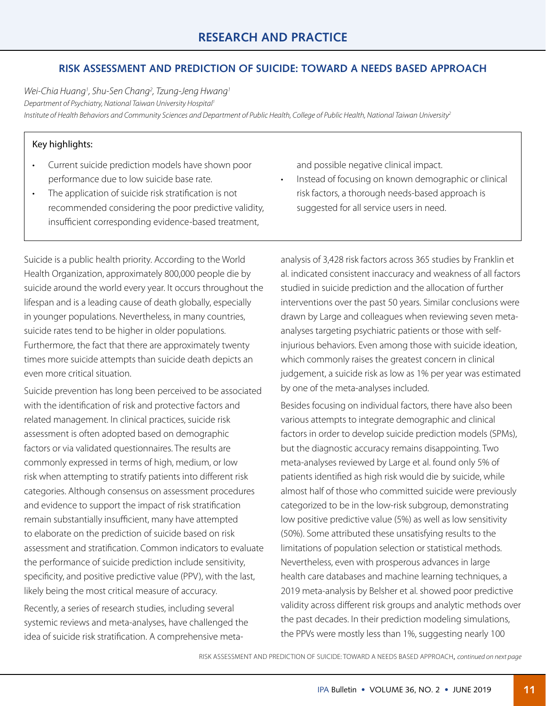# **RISK ASSESSMENT AND PREDICTION OF SUICIDE: TOWARD A NEEDS BASED APPROACH**

*Wei-Chia Huang1 , Shu-Sen Chang2 , Tzung-Jeng Hwang1 Department of Psychiatry, National Taiwan University Hospital1 Institute of Health Behaviors and Community Sciences and Department of Public Health, College of Public Health, National Taiwan University2*

#### Key highlights:

- Current suicide prediction models have shown poor performance due to low suicide base rate.
- The application of suicide risk stratification is not recommended considering the poor predictive validity, insufficient corresponding evidence-based treatment,

Suicide is a public health priority. According to the World Health Organization, approximately 800,000 people die by suicide around the world every year. It occurs throughout the lifespan and is a leading cause of death globally, especially in younger populations. Nevertheless, in many countries, suicide rates tend to be higher in older populations. Furthermore, the fact that there are approximately twenty times more suicide attempts than suicide death depicts an even more critical situation.

Suicide prevention has long been perceived to be associated with the identification of risk and protective factors and related management. In clinical practices, suicide risk assessment is often adopted based on demographic factors or via validated questionnaires. The results are commonly expressed in terms of high, medium, or low risk when attempting to stratify patients into different risk categories. Although consensus on assessment procedures and evidence to support the impact of risk stratification remain substantially insufficient, many have attempted to elaborate on the prediction of suicide based on risk assessment and stratification. Common indicators to evaluate the performance of suicide prediction include sensitivity, specificity, and positive predictive value (PPV), with the last, likely being the most critical measure of accuracy.

Recently, a series of research studies, including several systemic reviews and meta-analyses, have challenged the idea of suicide risk stratification. A comprehensive metaand possible negative clinical impact.

Instead of focusing on known demographic or clinical risk factors, a thorough needs-based approach is suggested for all service users in need.

analysis of 3,428 risk factors across 365 studies by Franklin et al. indicated consistent inaccuracy and weakness of all factors studied in suicide prediction and the allocation of further interventions over the past 50 years. Similar conclusions were drawn by Large and colleagues when reviewing seven metaanalyses targeting psychiatric patients or those with selfinjurious behaviors. Even among those with suicide ideation, which commonly raises the greatest concern in clinical judgement, a suicide risk as low as 1% per year was estimated by one of the meta-analyses included.

Besides focusing on individual factors, there have also been various attempts to integrate demographic and clinical factors in order to develop suicide prediction models (SPMs), but the diagnostic accuracy remains disappointing. Two meta-analyses reviewed by Large et al. found only 5% of patients identified as high risk would die by suicide, while almost half of those who committed suicide were previously categorized to be in the low-risk subgroup, demonstrating low positive predictive value (5%) as well as low sensitivity (50%). Some attributed these unsatisfying results to the limitations of population selection or statistical methods. Nevertheless, even with prosperous advances in large health care databases and machine learning techniques, a 2019 meta-analysis by Belsher et al. showed poor predictive validity across different risk groups and analytic methods over the past decades. In their prediction modeling simulations, the PPVs were mostly less than 1%, suggesting nearly 100

RISK ASSESSMENT AND PREDICTION OF SUICIDE: TOWARD A NEEDS BASED APPROACH, *[continued on next page](#page-0-0)*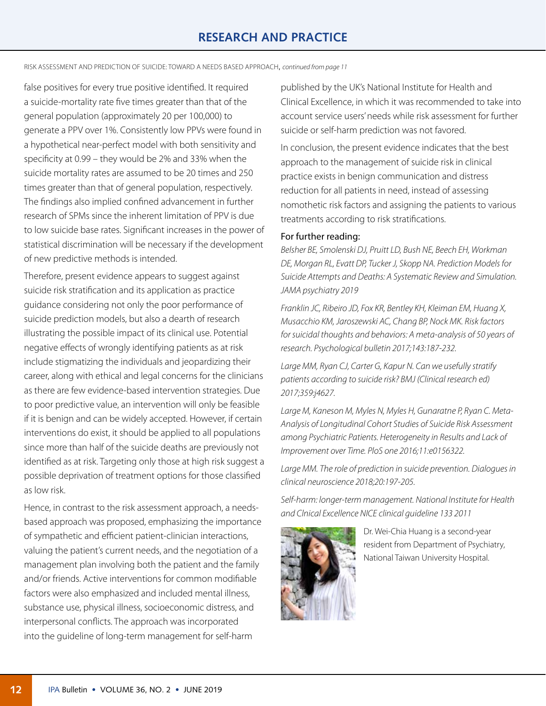# **RESEARCH AND PRACTICE**

RISK ASSESSMENT AND PREDICTION OF SUICIDE: TOWARD A NEEDS BASED APPROACH, *[continued from page](#page-0-0) 11*

false positives for every true positive identified. It required a suicide-mortality rate five times greater than that of the general population (approximately 20 per 100,000) to generate a PPV over 1%. Consistently low PPVs were found in a hypothetical near-perfect model with both sensitivity and specificity at 0.99 – they would be 2% and 33% when the suicide mortality rates are assumed to be 20 times and 250 times greater than that of general population, respectively. The findings also implied confined advancement in further research of SPMs since the inherent limitation of PPV is due to low suicide base rates. Significant increases in the power of statistical discrimination will be necessary if the development of new predictive methods is intended.

Therefore, present evidence appears to suggest against suicide risk stratification and its application as practice guidance considering not only the poor performance of suicide prediction models, but also a dearth of research illustrating the possible impact of its clinical use. Potential negative effects of wrongly identifying patients as at risk include stigmatizing the individuals and jeopardizing their career, along with ethical and legal concerns for the clinicians as there are few evidence-based intervention strategies. Due to poor predictive value, an intervention will only be feasible if it is benign and can be widely accepted. However, if certain interventions do exist, it should be applied to all populations since more than half of the suicide deaths are previously not identified as at risk. Targeting only those at high risk suggest a possible deprivation of treatment options for those classified as low risk.

Hence, in contrast to the risk assessment approach, a needsbased approach was proposed, emphasizing the importance of sympathetic and efficient patient-clinician interactions, valuing the patient's current needs, and the negotiation of a management plan involving both the patient and the family and/or friends. Active interventions for common modifiable factors were also emphasized and included mental illness, substance use, physical illness, socioeconomic distress, and interpersonal conflicts. The approach was incorporated into the guideline of long-term management for self-harm

published by the UK's National Institute for Health and Clinical Excellence, in which it was recommended to take into account service users' needs while risk assessment for further suicide or self-harm prediction was not favored.

In conclusion, the present evidence indicates that the best approach to the management of suicide risk in clinical practice exists in benign communication and distress reduction for all patients in need, instead of assessing nomothetic risk factors and assigning the patients to various treatments according to risk stratifications.

#### For further reading:

*Belsher BE, Smolenski DJ, Pruitt LD, Bush NE, Beech EH, Workman DE, Morgan RL, Evatt DP, Tucker J, Skopp NA. Prediction Models for Suicide Attempts and Deaths: A Systematic Review and Simulation. JAMA psychiatry 2019*

*Franklin JC, Ribeiro JD, Fox KR, Bentley KH, Kleiman EM, Huang X, Musacchio KM, Jaroszewski AC, Chang BP, Nock MK. Risk factors for suicidal thoughts and behaviors: A meta-analysis of 50 years of research. Psychological bulletin 2017;143:187-232.*

Large MM, Ryan CJ, Carter G, Kapur N. Can we usefully stratify *patients according to suicide risk? BMJ (Clinical research ed) 2017;359:j4627.*

*Large M, Kaneson M, Myles N, Myles H, Gunaratne P, Ryan C. Meta-Analysis of Longitudinal Cohort Studies of Suicide Risk Assessment among Psychiatric Patients. Heterogeneity in Results and Lack of Improvement over Time. PloS one 2016;11:e0156322.*

Large MM. The role of prediction in suicide prevention. Dialogues in *clinical neuroscience 2018;20:197-205.*

*Self-harm: longer-term management. National Institute for Health and Clnical Excellence NICE clinical guideline 133 2011*



Dr. Wei-Chia Huang is a second-year resident from Department of Psychiatry, National Taiwan University Hospital.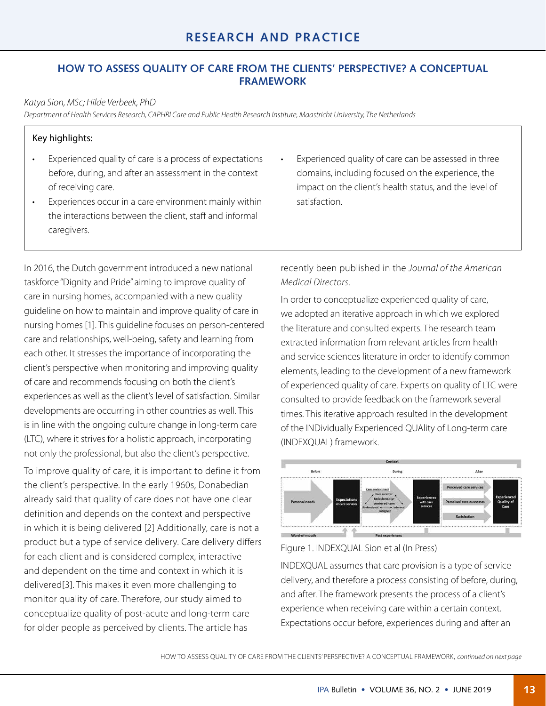# **HOW TO ASSESS QUALITY OF CARE FROM THE CLIENTS' PERSPECTIVE? A CONCEPTUAL FRAMEWORK**

*Katya Sion, MSc; Hilde Verbeek, PhD*

*Department of Health Services Research, CAPHRI Care and Public Health Research Institute, Maastricht University, The Netherlands*

#### Key highlights:

- Experienced quality of care is a process of expectations before, during, and after an assessment in the context of receiving care.
- Experiences occur in a care environment mainly within the interactions between the client, staff and informal caregivers.

In 2016, the Dutch government introduced a new national taskforce "Dignity and Pride" aiming to improve quality of care in nursing homes, accompanied with a new quality guideline on how to maintain and improve quality of care in nursing homes [1]. This guideline focuses on person-centered care and relationships, well-being, safety and learning from each other. It stresses the importance of incorporating the client's perspective when monitoring and improving quality of care and recommends focusing on both the client's experiences as well as the client's level of satisfaction. Similar developments are occurring in other countries as well. This is in line with the ongoing culture change in long-term care (LTC), where it strives for a holistic approach, incorporating not only the professional, but also the client's perspective.

To improve quality of care, it is important to define it from the client's perspective. In the early 1960s, Donabedian already said that quality of care does not have one clear definition and depends on the context and perspective in which it is being delivered [2] Additionally, care is not a product but a type of service delivery. Care delivery differs for each client and is considered complex, interactive and dependent on the time and context in which it is delivered[3]. This makes it even more challenging to monitor quality of care. Therefore, our study aimed to conceptualize quality of post-acute and long-term care for older people as perceived by clients. The article has

Experienced quality of care can be assessed in three domains, including focused on the experience, the impact on the client's health status, and the level of satisfaction.

recently been published in the *Journal of the American Medical Directors*.

In order to conceptualize experienced quality of care, we adopted an iterative approach in which we explored the literature and consulted experts. The research team extracted information from relevant articles from health and service sciences literature in order to identify common elements, leading to the development of a new framework of experienced quality of care. Experts on quality of LTC were consulted to provide feedback on the framework several times. This iterative approach resulted in the development of the INDividually Experienced QUAlity of Long-term care (INDEXQUAL) framework.



Figure 1. INDEXQUAL Sion et al (In Press)

INDEXQUAL assumes that care provision is a type of service delivery, and therefore a process consisting of before, during, and after. The framework presents the process of a client's experience when receiving care within a certain context. Expectations occur before, experiences during and after an

HOW TO ASSESS QUALITY OF CARE FROM THE CLIENTS' PERSPECTIVE? A CONCEPTUAL FRAMEWORK, *[continued on next page](#page-0-0)*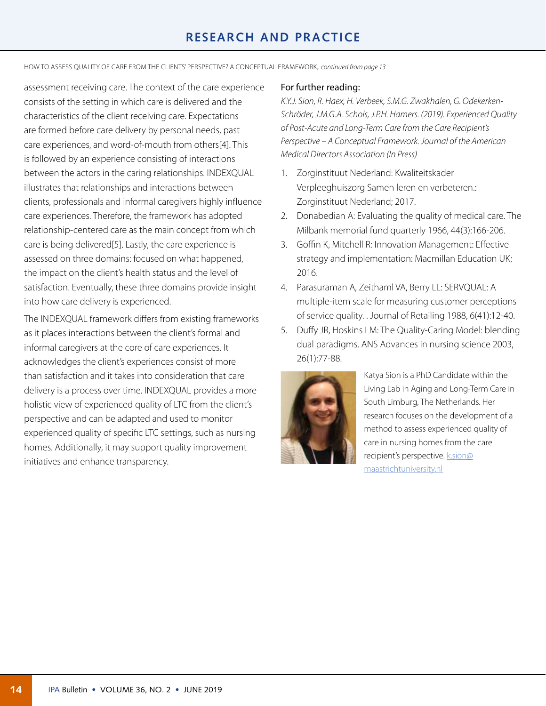# **RESEARCH AND PRACTICE**

HOW TO ASSESS QUALITY OF CARE FROM THE CLIENTS' PERSPECTIVE? A CONCEPTUAL FRAMEWORK, *[continued from page](#page-0-0) 13*

assessment receiving care. The context of the care experience consists of the setting in which care is delivered and the characteristics of the client receiving care. Expectations are formed before care delivery by personal needs, past care experiences, and word-of-mouth from others[4]. This is followed by an experience consisting of interactions between the actors in the caring relationships. INDEXQUAL illustrates that relationships and interactions between clients, professionals and informal caregivers highly influence care experiences. Therefore, the framework has adopted relationship-centered care as the main concept from which care is being delivered[5]. Lastly, the care experience is assessed on three domains: focused on what happened, the impact on the client's health status and the level of satisfaction. Eventually, these three domains provide insight into how care delivery is experienced.

The INDEXQUAL framework differs from existing frameworks as it places interactions between the client's formal and informal caregivers at the core of care experiences. It acknowledges the client's experiences consist of more than satisfaction and it takes into consideration that care delivery is a process over time. INDEXQUAL provides a more holistic view of experienced quality of LTC from the client's perspective and can be adapted and used to monitor experienced quality of specific LTC settings, such as nursing homes. Additionally, it may support quality improvement initiatives and enhance transparency.

#### For further reading:

*K.Y.J. Sion, R. Haex, H. Verbeek, S.M.G. Zwakhalen, G. Odekerken-Schröder, J.M.G.A. Schols, J.P.H. Hamers. (2019). Experienced Quality of Post-Acute and Long-Term Care from the Care Recipient's Perspective – A Conceptual Framework. Journal of the American Medical Directors Association (In Press)* 

- 1. Zorginstituut Nederland: Kwaliteitskader Verpleeghuiszorg Samen leren en verbeteren.: Zorginstituut Nederland; 2017.
- 2. Donabedian A: Evaluating the quality of medical care. The Milbank memorial fund quarterly 1966, 44(3):166-206.
- 3. Goffin K, Mitchell R: Innovation Management: Effective strategy and implementation: Macmillan Education UK; 2016.
- 4. Parasuraman A, Zeithaml VA, Berry LL: SERVQUAL: A multiple-item scale for measuring customer perceptions of service quality. . Journal of Retailing 1988, 6(41):12-40.
- 5. Duffy JR, Hoskins LM: The Quality-Caring Model: blending dual paradigms. ANS Advances in nursing science 2003, 26(1):77-88.



Katya Sion is a PhD Candidate within the Living Lab in Aging and Long-Term Care in South Limburg, The Netherlands. Her research focuses on the development of a method to assess experienced quality of care in nursing homes from the care recipient's perspective. **k.sion@** [maastrichtuniversity.nl](mailto:k.sion@maastrichtuniversity.nl)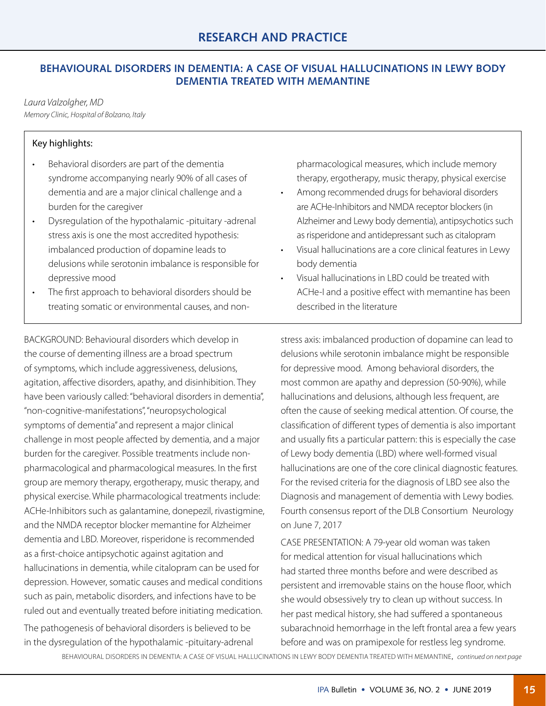# **BEHAVIOURAL DISORDERS IN DEMENTIA: A CASE OF VISUAL HALLUCINATIONS IN LEWY BODY DEMENTIA TREATED WITH MEMANTINE**

## *Laura Valzolgher, MD*

*Memory Clinic, Hospital of Bolzano, Italy*

## Key highlights:

- Behavioral disorders are part of the dementia syndrome accompanying nearly 90% of all cases of dementia and are a major clinical challenge and a burden for the caregiver
- Dysregulation of the hypothalamic -pituitary -adrenal stress axis is one the most accredited hypothesis: imbalanced production of dopamine leads to delusions while serotonin imbalance is responsible for depressive mood
- The first approach to behavioral disorders should be treating somatic or environmental causes, and non-

BACKGROUND: Behavioural disorders which develop in the course of dementing illness are a broad spectrum of symptoms, which include aggressiveness, delusions, agitation, affective disorders, apathy, and disinhibition. They have been variously called: "behavioral disorders in dementia", "non-cognitive-manifestations", "neuropsychological symptoms of dementia" and represent a major clinical challenge in most people affected by dementia, and a major burden for the caregiver. Possible treatments include nonpharmacological and pharmacological measures. In the first group are memory therapy, ergotherapy, music therapy, and physical exercise. While pharmacological treatments include: ACHe-Inhibitors such as galantamine, donepezil, rivastigmine, and the NMDA receptor blocker memantine for Alzheimer dementia and LBD. Moreover, risperidone is recommended as a first-choice antipsychotic against agitation and hallucinations in dementia, while citalopram can be used for depression. However, somatic causes and medical conditions such as pain, metabolic disorders, and infections have to be ruled out and eventually treated before initiating medication.

The pathogenesis of behavioral disorders is believed to be in the dysregulation of the hypothalamic -pituitary-adrenal pharmacological measures, which include memory therapy, ergotherapy, music therapy, physical exercise

- Among recommended drugs for behavioral disorders are ACHe-Inhibitors and NMDA receptor blockers (in Alzheimer and Lewy body dementia), antipsychotics such as risperidone and antidepressant such as citalopram
- Visual hallucinations are a core clinical features in Lewy body dementia
- Visual hallucinations in LBD could be treated with ACHe-I and a positive effect with memantine has been described in the literature

stress axis: imbalanced production of dopamine can lead to delusions while serotonin imbalance might be responsible for depressive mood. Among behavioral disorders, the most common are apathy and depression (50-90%), while hallucinations and delusions, although less frequent, are often the cause of seeking medical attention. Of course, the classification of different types of dementia is also important and usually fits a particular pattern: this is especially the case of Lewy body dementia (LBD) where well-formed visual hallucinations are one of the core clinical diagnostic features. For the revised criteria for the diagnosis of LBD see also the Diagnosis and management of dementia with Lewy bodies. Fourth consensus report of the DLB Consortium Neurology on June 7, 2017

CASE PRESENTATION: A 79-year old woman was taken for medical attention for visual hallucinations which had started three months before and were described as persistent and irremovable stains on the house floor, which she would obsessively try to clean up without success. In her past medical history, she had suffered a spontaneous subarachnoid hemorrhage in the left frontal area a few years before and was on pramipexole for restless leg syndrome.

BEHAVIOURAL DISORDERS IN DEMENTIA: A CASE OF VISUAL HALLUCINATIONS IN LEWY BODY DEMENTIA TREATED WITH MEMANTINE, *[continued on next page](#page-0-0)*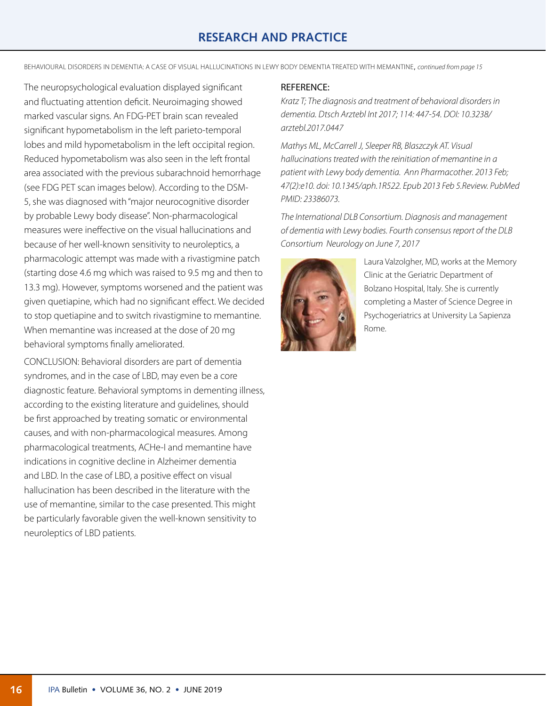# **RESEARCH AND PRACTICE**

BEHAVIOURAL DISORDERS IN DEMENTIA: A CASE OF VISUAL HALLUCINATIONS IN LEWY BODY DEMENTIA TREATED WITH MEMANTINE, *[continued from page 1](#page-0-0)5*

The neuropsychological evaluation displayed significant and fluctuating attention deficit. Neuroimaging showed marked vascular signs. An FDG-PET brain scan revealed significant hypometabolism in the left parieto-temporal lobes and mild hypometabolism in the left occipital region. Reduced hypometabolism was also seen in the left frontal area associated with the previous subarachnoid hemorrhage (see FDG PET scan images below). According to the DSM-5, she was diagnosed with "major neurocognitive disorder by probable Lewy body disease". Non-pharmacological measures were ineffective on the visual hallucinations and because of her well-known sensitivity to neuroleptics, a pharmacologic attempt was made with a rivastigmine patch (starting dose 4.6 mg which was raised to 9.5 mg and then to 13.3 mg). However, symptoms worsened and the patient was given quetiapine, which had no significant effect. We decided to stop quetiapine and to switch rivastigmine to memantine. When memantine was increased at the dose of 20 mg behavioral symptoms finally ameliorated.

CONCLUSION: Behavioral disorders are part of dementia syndromes, and in the case of LBD, may even be a core diagnostic feature. Behavioral symptoms in dementing illness, according to the existing literature and guidelines, should be first approached by treating somatic or environmental causes, and with non-pharmacological measures. Among pharmacological treatments, ACHe-I and memantine have indications in cognitive decline in Alzheimer dementia and LBD. In the case of LBD, a positive effect on visual hallucination has been described in the literature with the use of memantine, similar to the case presented. This might be particularly favorable given the well-known sensitivity to neuroleptics of LBD patients.

#### REFERENCE:

*Kratz T; The diagnosis and treatment of behavioral disorders in dementia. Dtsch Arztebl Int 2017; 114: 447-54. DOI: 10.3238/ arztebl.2017.0447*

*Mathys ML, McCarrell J, Sleeper RB, Blaszczyk AT. Visual hallucinations treated with the reinitiation of memantine in a patient with Lewy body dementia. Ann Pharmacother. 2013 Feb; 47(2):e10. doi: 10.1345/aph.1R522. Epub 2013 Feb 5.Review. PubMed PMID: 23386073.*

*The International DLB Consortium. Diagnosis and management of dementia with Lewy bodies. Fourth consensus report of the DLB Consortium Neurology on June 7, 2017*



Laura Valzolgher, MD, works at the Memory Clinic at the Geriatric Department of Bolzano Hospital, Italy. She is currently completing a Master of Science Degree in Psychogeriatrics at University La Sapienza Rome.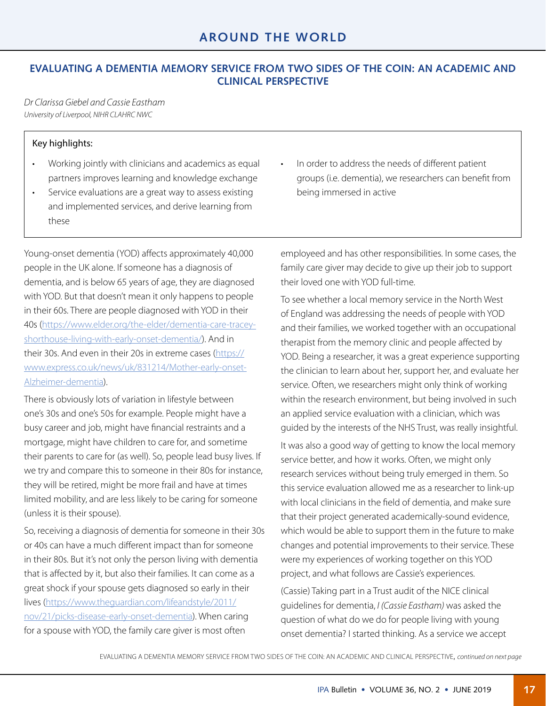## **EVALUATING A DEMENTIA MEMORY SERVICE FROM TWO SIDES OF THE COIN: AN ACADEMIC AND CLINICAL PERSPECTIVE**

*Dr Clarissa Giebel and Cassie Eastham University of Liverpool, NIHR CLAHRC NWC*

#### Key highlights:

- Working jointly with clinicians and academics as equal partners improves learning and knowledge exchange
- Service evaluations are a great way to assess existing and implemented services, and derive learning from these

Young-onset dementia (YOD) affects approximately 40,000 people in the UK alone. If someone has a diagnosis of dementia, and is below 65 years of age, they are diagnosed with YOD. But that doesn't mean it only happens to people in their 60s. There are people diagnosed with YOD in their 40s [\(https://www.elder.org/the-elder/dementia-care-tracey](https://www.elder.org/the-elder/dementia-care-tracey-shorthouse-living-with-early-onset-dementia/)[shorthouse-living-with-early-onset-dementia/](https://www.elder.org/the-elder/dementia-care-tracey-shorthouse-living-with-early-onset-dementia/)). And in their 30s. And even in their 20s in extreme cases ([https://](https://www.express.co.uk/news/uk/831214/Mother-early-onset-Alzheimer-dementia) [www.express.co.uk/news/uk/831214/Mother-early-onset-](https://www.express.co.uk/news/uk/831214/Mother-early-onset-Alzheimer-dementia)[Alzheimer-dementia\)](https://www.express.co.uk/news/uk/831214/Mother-early-onset-Alzheimer-dementia).

There is obviously lots of variation in lifestyle between one's 30s and one's 50s for example. People might have a busy career and job, might have financial restraints and a mortgage, might have children to care for, and sometime their parents to care for (as well). So, people lead busy lives. If we try and compare this to someone in their 80s for instance, they will be retired, might be more frail and have at times limited mobility, and are less likely to be caring for someone (unless it is their spouse).

So, receiving a diagnosis of dementia for someone in their 30s or 40s can have a much different impact than for someone in their 80s. But it's not only the person living with dementia that is affected by it, but also their families. It can come as a great shock if your spouse gets diagnosed so early in their lives [\(https://www.theguardian.com/lifeandstyle/2011/](https://www.theguardian.com/lifeandstyle/2011/nov/21/picks-disease-early-onset-dementia) [nov/21/picks-disease-early-onset-dementia\)](https://www.theguardian.com/lifeandstyle/2011/nov/21/picks-disease-early-onset-dementia). When caring for a spouse with YOD, the family care giver is most often

In order to address the needs of different patient groups (i.e. dementia), we researchers can benefit from being immersed in active

employeed and has other responsibilities. In some cases, the family care giver may decide to give up their job to support their loved one with YOD full-time.

To see whether a local memory service in the North West of England was addressing the needs of people with YOD and their families, we worked together with an occupational therapist from the memory clinic and people affected by YOD. Being a researcher, it was a great experience supporting the clinician to learn about her, support her, and evaluate her service. Often, we researchers might only think of working within the research environment, but being involved in such an applied service evaluation with a clinician, which was guided by the interests of the NHS Trust, was really insightful.

It was also a good way of getting to know the local memory service better, and how it works. Often, we might only research services without being truly emerged in them. So this service evaluation allowed me as a researcher to link-up with local clinicians in the field of dementia, and make sure that their project generated academically-sound evidence, which would be able to support them in the future to make changes and potential improvements to their service. These were my experiences of working together on this YOD project, and what follows are Cassie's experiences.

(Cassie) Taking part in a Trust audit of the NICE clinical guidelines for dementia, *I (Cassie Eastham)* was asked the question of what do we do for people living with young onset dementia? I started thinking. As a service we accept

EVALUATING A DEMENTIA MEMORY SERVICE FROM TWO SIDES OF THE COIN: AN ACADEMIC AND CLINICAL PERSPECTIVE, *[continued on next page](#page-0-0)*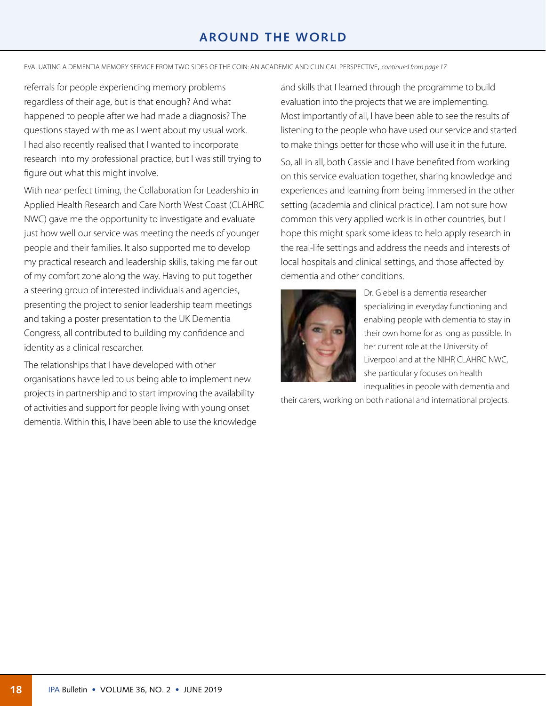# **AROUND THE WORLD**

EVALUATING A DEMENTIA MEMORY SERVICE FROM TWO SIDES OF THE COIN: AN ACADEMIC AND CLINICAL PERSPECTIVE, *[continued from page](#page-0-0) 17*

referrals for people experiencing memory problems regardless of their age, but is that enough? And what happened to people after we had made a diagnosis? The questions stayed with me as I went about my usual work. I had also recently realised that I wanted to incorporate research into my professional practice, but I was still trying to figure out what this might involve.

With near perfect timing, the Collaboration for Leadership in Applied Health Research and Care North West Coast (CLAHRC NWC) gave me the opportunity to investigate and evaluate just how well our service was meeting the needs of younger people and their families. It also supported me to develop my practical research and leadership skills, taking me far out of my comfort zone along the way. Having to put together a steering group of interested individuals and agencies, presenting the project to senior leadership team meetings and taking a poster presentation to the UK Dementia Congress, all contributed to building my confidence and identity as a clinical researcher.

The relationships that I have developed with other organisations havce led to us being able to implement new projects in partnership and to start improving the availability of activities and support for people living with young onset dementia. Within this, I have been able to use the knowledge and skills that I learned through the programme to build evaluation into the projects that we are implementing. Most importantly of all, I have been able to see the results of listening to the people who have used our service and started to make things better for those who will use it in the future. So, all in all, both Cassie and I have benefited from working on this service evaluation together, sharing knowledge and experiences and learning from being immersed in the other setting (academia and clinical practice). I am not sure how common this very applied work is in other countries, but I hope this might spark some ideas to help apply research in the real-life settings and address the needs and interests of local hospitals and clinical settings, and those affected by dementia and other conditions.



Dr. Giebel is a dementia researcher specializing in everyday functioning and enabling people with dementia to stay in their own home for as long as possible. In her current role at the University of Liverpool and at the NIHR CLAHRC NWC, she particularly focuses on health inequalities in people with dementia and

their carers, working on both national and international projects.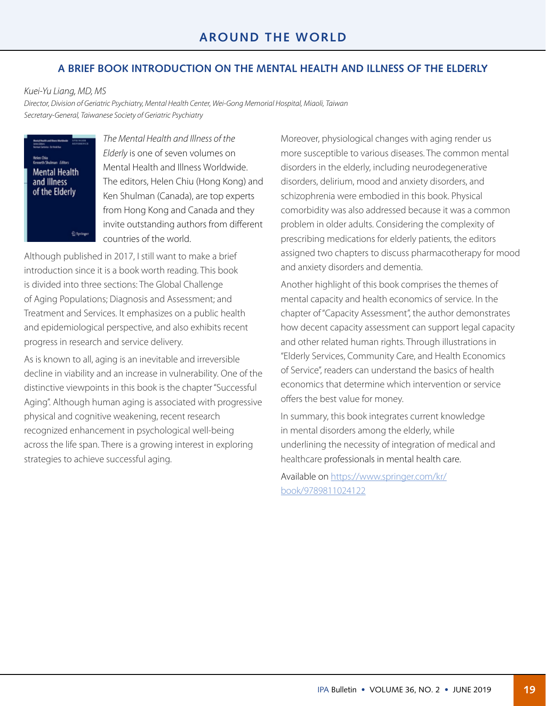## **A BRIEF BOOK INTRODUCTION ON THE MENTAL HEALTH AND ILLNESS OF THE ELDERLY**

*Kuei-Yu Liang, MD, MS*

*Director, Division of Geriatric Psychiatry, Mental Health Center, Wei-Gong Memorial Hospital, Miaoli, Taiwan Secretary-General, Taiwanese Society of Geriatric Psychiatry*

**Mental Health** and Illness of the Elderly

<sup>2</sup> Springer

*The Mental Health and Illness of the Elderly* is one of seven volumes on Mental Health and Illness Worldwide. The editors, Helen Chiu (Hong Kong) and Ken Shulman (Canada), are top experts from Hong Kong and Canada and they invite outstanding authors from different countries of the world.

Although published in 2017, I still want to make a brief introduction since it is a book worth reading. This book is divided into three sections: The Global Challenge of Aging Populations; Diagnosis and Assessment; and Treatment and Services. It emphasizes on a public health and epidemiological perspective, and also exhibits recent progress in research and service delivery.

As is known to all, aging is an inevitable and irreversible decline in viability and an increase in vulnerability. One of the distinctive viewpoints in this book is the chapter "Successful Aging". Although human aging is associated with progressive physical and cognitive weakening, recent research recognized enhancement in psychological well-being across the life span. There is a growing interest in exploring strategies to achieve successful aging.

Moreover, physiological changes with aging render us more susceptible to various diseases. The common mental disorders in the elderly, including neurodegenerative disorders, delirium, mood and anxiety disorders, and schizophrenia were embodied in this book. Physical comorbidity was also addressed because it was a common problem in older adults. Considering the complexity of prescribing medications for elderly patients, the editors assigned two chapters to discuss pharmacotherapy for mood and anxiety disorders and dementia.

Another highlight of this book comprises the themes of mental capacity and health economics of service. In the chapter of "Capacity Assessment", the author demonstrates how decent capacity assessment can support legal capacity and other related human rights. Through illustrations in "Elderly Services, Community Care, and Health Economics of Service", readers can understand the basics of health economics that determine which intervention or service offers the best value for money.

In summary, this book integrates current knowledge in mental disorders among the elderly, while underlining the necessity of integration of medical and healthcare professionals in mental health care.

Available on [https://www.springer.com/kr/](https://www.springer.com/kr/book/9789811024122) [book/9789811024122](https://www.springer.com/kr/book/9789811024122)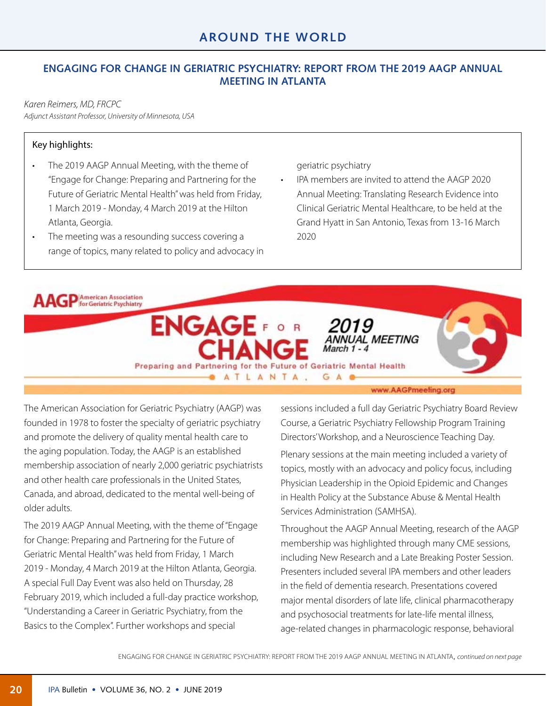## **ENGAGING FOR CHANGE IN GERIATRIC PSYCHIATRY: REPORT FROM THE 2019 AAGP ANNUAL MEETING IN ATLANTA**

*Karen Reimers, MD, FRCPC Adjunct Assistant Professor, University of Minnesota, USA*

#### Key highlights:

- The 2019 AAGP Annual Meeting, with the theme of "Engage for Change: Preparing and Partnering for the Future of Geriatric Mental Health" was held from Friday, 1 March 2019 - Monday, 4 March 2019 at the Hilton Atlanta, Georgia.
- The meeting was a resounding success covering a range of topics, many related to policy and advocacy in

geriatric psychiatry

• IPA members are invited to attend the AAGP 2020 Annual Meeting: Translating Research Evidence into Clinical Geriatric Mental Healthcare, to be held at the Grand Hyatt in San Antonio, Texas from 13-16 March 2020



The American Association for Geriatric Psychiatry (AAGP) was founded in 1978 to foster the specialty of geriatric psychiatry and promote the delivery of quality mental health care to the aging population. Today, the AAGP is an established membership association of nearly 2,000 geriatric psychiatrists and other health care professionals in the United States, Canada, and abroad, dedicated to the mental well-being of older adults.

The 2019 AAGP Annual Meeting, with the theme of "Engage for Change: Preparing and Partnering for the Future of Geriatric Mental Health" was held from Friday, 1 March 2019 - Monday, 4 March 2019 at the Hilton Atlanta, Georgia. A special Full Day Event was also held on Thursday, 28 February 2019, which included a full-day practice workshop, "Understanding a Career in Geriatric Psychiatry, from the Basics to the Complex". Further workshops and special

www.AAGPmeefing.org

sessions included a full day Geriatric Psychiatry Board Review Course, a Geriatric Psychiatry Fellowship Program Training Directors' Workshop, and a Neuroscience Teaching Day.

Plenary sessions at the main meeting included a variety of topics, mostly with an advocacy and policy focus, including Physician Leadership in the Opioid Epidemic and Changes in Health Policy at the Substance Abuse & Mental Health Services Administration (SAMHSA).

Throughout the AAGP Annual Meeting, research of the AAGP membership was highlighted through many CME sessions, including New Research and a Late Breaking Poster Session. Presenters included several IPA members and other leaders in the field of dementia research. Presentations covered major mental disorders of late life, clinical pharmacotherapy and psychosocial treatments for late-life mental illness, age-related changes in pharmacologic response, behavioral

ENGAGING FOR CHANGE IN GERIATRIC PSYCHIATRY: REPORT FROM THE 2019 AAGP ANNUAL MEETING IN ATLANTA, *[continued on next page](#page-0-0)*